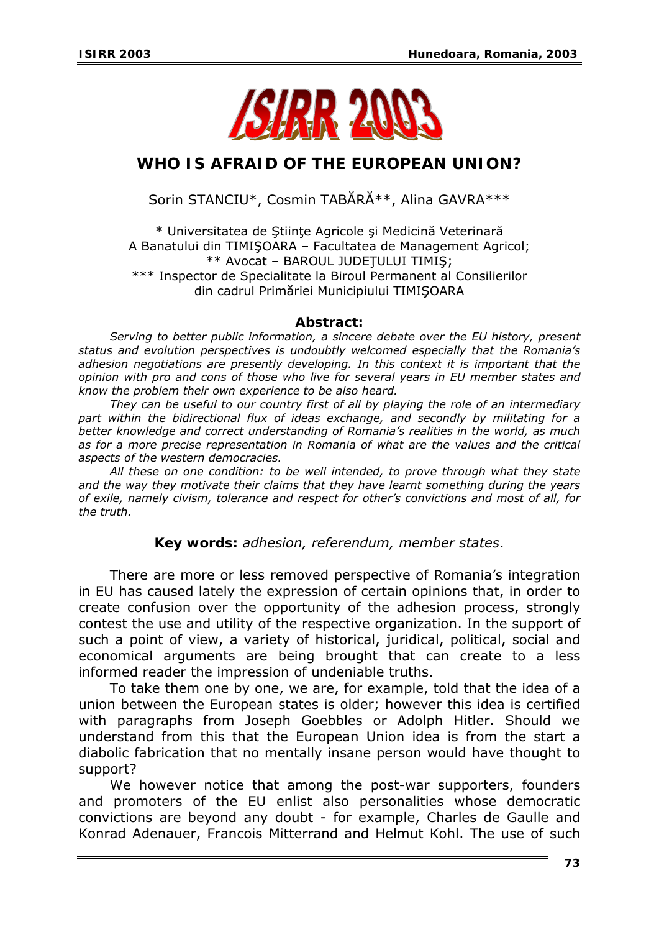

## **WHO IS AFRAID OF THE EUROPEAN UNION?**

Sorin STANCIU\*, Cosmin TABĂRĂ\*\*, Alina GAVRA\*\*\*

\* Universitatea de Ştiinţe Agricole şi Medicină Veterinară A Banatului din TIMIŞOARA – Facultatea de Management Agricol; \*\* Avocat – BAROUL JUDEŢULUI TIMIŞ; \*\*\* Inspector de Specialitate la Biroul Permanent al Consilierilor din cadrul Primăriei Municipiului TIMIŞOARA

## *Abstract:*

*Serving to better public information, a sincere debate over the EU history, present status and evolution perspectives is undoubtly welcomed especially that the Romania's adhesion negotiations are presently developing. In this context it is important that the opinion with pro and cons of those who live for several years in EU member states and know the problem their own experience to be also heard.* 

*They can be useful to our country first of all by playing the role of an intermediary part within the bidirectional flux of ideas exchange, and secondly by militating for a better knowledge and correct understanding of Romania's realities in the world, as much as for a more precise representation in Romania of what are the values and the critical aspects of the western democracies.* 

*All these on one condition: to be well intended, to prove through what they state and the way they motivate their claims that they have learnt something during the years of exile, namely civism, tolerance and respect for other's convictions and most of all, for the truth.* 

## *Key words: adhesion, referendum, member states*.

There are more or less removed perspective of Romania's integration in EU has caused lately the expression of certain opinions that, in order to create confusion over the opportunity of the adhesion process, strongly contest the use and utility of the respective organization. In the support of such a point of view, a variety of historical, juridical, political, social and economical arguments are being brought that can create to a less informed reader the impression of undeniable truths.

To take them one by one, we are, for example, told that the idea of a union between the European states is older; however this idea is certified with paragraphs from Joseph Goebbles or Adolph Hitler. Should we understand from this that the European Union idea is from the start a diabolic fabrication that no mentally insane person would have thought to support?

We however notice that among the post-war supporters, founders and promoters of the EU enlist also personalities whose democratic convictions are beyond any doubt - for example, Charles de Gaulle and Konrad Adenauer, Francois Mitterrand and Helmut Kohl. The use of such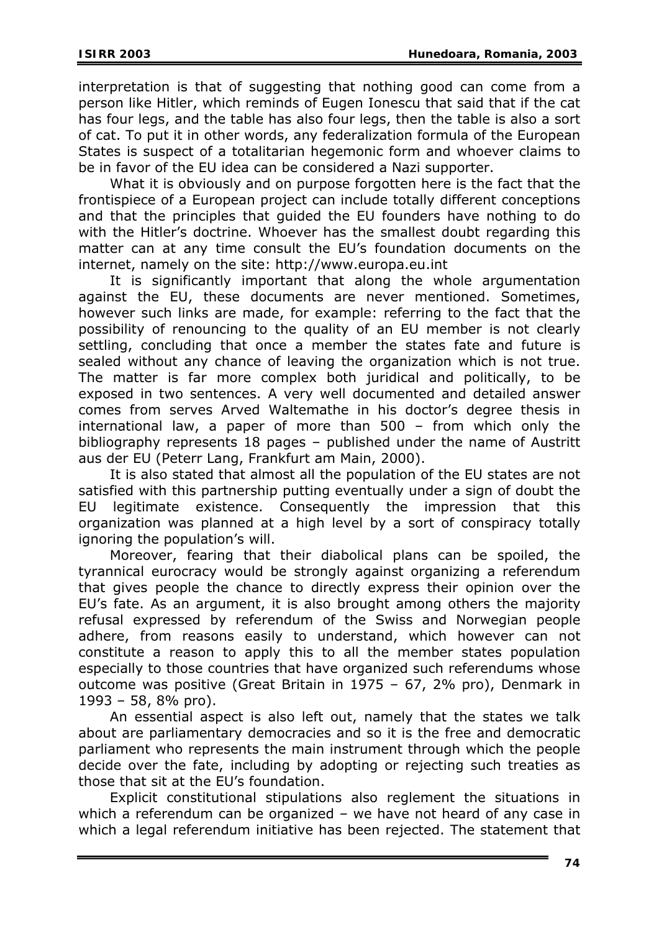interpretation is that of suggesting that nothing good can come from a person like Hitler, which reminds of Eugen Ionescu that said that if the cat has four legs, and the table has also four legs, then the table is also a sort of cat. To put it in other words, any federalization formula of the European States is suspect of a totalitarian hegemonic form and whoever claims to be in favor of the EU idea can be considered a Nazi supporter.

What it is obviously and on purpose forgotten here is the fact that the frontispiece of a European project can include totally different conceptions and that the principles that guided the EU founders have nothing to do with the Hitler's doctrine. Whoever has the smallest doubt regarding this matter can at any time consult the EU's foundation documents on the internet, namely on the site: [http://www.europa.eu.int](http://www.europa.eu.int/) 

It is significantly important that along the whole argumentation against the EU, these documents are never mentioned. Sometimes, however such links are made, for example: referring to the fact that the possibility of renouncing to the quality of an EU member is not clearly settling, concluding that once a member the states fate and future is sealed without any chance of leaving the organization which is not true. The matter is far more complex both juridical and politically, to be exposed in two sentences. A very well documented and detailed answer comes from serves Arved Waltemathe in his doctor's degree thesis in international law, a paper of more than 500 – from which only the bibliography represents 18 pages – published under the name of Austritt aus der EU (Peterr Lang, Frankfurt am Main, 2000).

It is also stated that almost all the population of the EU states are not satisfied with this partnership putting eventually under a sign of doubt the EU legitimate existence. Consequently the impression that this organization was planned at a high level by a sort of conspiracy totally ignoring the population's will.

Moreover, fearing that their diabolical plans can be spoiled, the tyrannical eurocracy would be strongly against organizing a referendum that gives people the chance to directly express their opinion over the EU's fate. As an argument, it is also brought among others the majority refusal expressed by referendum of the Swiss and Norwegian people adhere, from reasons easily to understand, which however can not constitute a reason to apply this to all the member states population especially to those countries that have organized such referendums whose outcome was positive (Great Britain in 1975 – 67, 2% pro), Denmark in  $1993 - 58$ , 8% pro).

An essential aspect is also left out, namely that the states we talk about are parliamentary democracies and so it is the free and democratic parliament who represents the main instrument through which the people decide over the fate, including by adopting or rejecting such treaties as those that sit at the EU's foundation.

Explicit constitutional stipulations also reglement the situations in which a referendum can be organized – we have not heard of any case in which a legal referendum initiative has been rejected. The statement that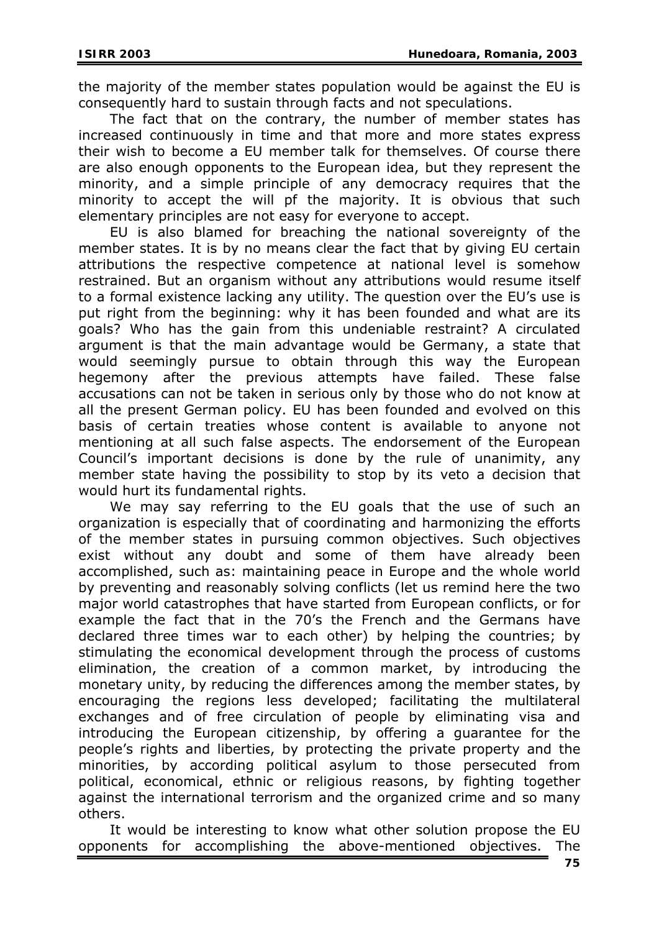the majority of the member states population would be against the EU is consequently hard to sustain through facts and not speculations.

The fact that on the contrary, the number of member states has increased continuously in time and that more and more states express their wish to become a EU member talk for themselves. Of course there are also enough opponents to the European idea, but they represent the minority, and a simple principle of any democracy requires that the minority to accept the will pf the majority. It is obvious that such elementary principles are not easy for everyone to accept.

EU is also blamed for breaching the national sovereignty of the member states. It is by no means clear the fact that by giving EU certain attributions the respective competence at national level is somehow restrained. But an organism without any attributions would resume itself to a formal existence lacking any utility. The question over the EU's use is put right from the beginning: why it has been founded and what are its goals? Who has the gain from this undeniable restraint? A circulated argument is that the main advantage would be Germany, a state that would seemingly pursue to obtain through this way the European hegemony after the previous attempts have failed. These false accusations can not be taken in serious only by those who do not know at all the present German policy. EU has been founded and evolved on this basis of certain treaties whose content is available to anyone not mentioning at all such false aspects. The endorsement of the European Council's important decisions is done by the rule of unanimity, any member state having the possibility to stop by its veto a decision that would hurt its fundamental rights.

We may say referring to the EU goals that the use of such an organization is especially that of coordinating and harmonizing the efforts of the member states in pursuing common objectives. Such objectives exist without any doubt and some of them have already been accomplished, such as: maintaining peace in Europe and the whole world by preventing and reasonably solving conflicts (let us remind here the two major world catastrophes that have started from European conflicts, or for example the fact that in the 70's the French and the Germans have declared three times war to each other) by helping the countries; by stimulating the economical development through the process of customs elimination, the creation of a common market, by introducing the monetary unity, by reducing the differences among the member states, by encouraging the regions less developed; facilitating the multilateral exchanges and of free circulation of people by eliminating visa and introducing the European citizenship, by offering a guarantee for the people's rights and liberties, by protecting the private property and the minorities, by according political asylum to those persecuted from political, economical, ethnic or religious reasons, by fighting together against the international terrorism and the organized crime and so many others.

It would be interesting to know what other solution propose the EU opponents for accomplishing the above-mentioned objectives. The